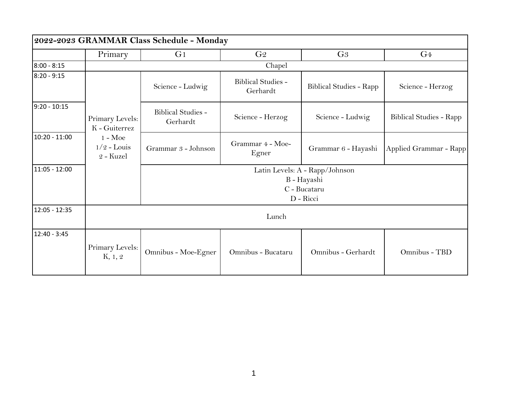| 2022-2023 GRAMMAR Class Schedule - Monday |                                                |                                                                            |                                       |                                |                                |
|-------------------------------------------|------------------------------------------------|----------------------------------------------------------------------------|---------------------------------------|--------------------------------|--------------------------------|
|                                           | Primary                                        | G <sub>1</sub>                                                             | G <sub>2</sub>                        | G <sub>3</sub>                 | G <sub>4</sub>                 |
| $8:00 - 8:15$                             |                                                | Chapel                                                                     |                                       |                                |                                |
| $8:20 - 9:15$                             |                                                | Science - Ludwig                                                           | <b>Biblical Studies -</b><br>Gerhardt | <b>Biblical Studies - Rapp</b> | Science - Herzog               |
| $9:20 - 10:15$                            | Primary Levels:<br>K - Guiterrez               | <b>Biblical Studies -</b><br>Gerhardt                                      | Science - Herzog                      | Science - Ludwig               | <b>Biblical Studies - Rapp</b> |
| $10:20 - 11:00$                           | $1 - \text{Moe}$<br>$1/2$ - Louis<br>2 - Kuzel | Grammar 3 - Johnson                                                        | Grammar 4 - Moe-<br>Egner             | Grammar 6 - Hayashi            | Applied Grammar - Rapp         |
| 11:05 - 12:00                             |                                                | Latin Levels: A - Rapp/Johnson<br>B - Hayashi<br>C - Bucataru<br>D - Ricci |                                       |                                |                                |
| 12:05 - 12:35                             | Lunch                                          |                                                                            |                                       |                                |                                |
| $12:40 - 3:45$                            | Primary Levels:<br>K, 1, 2                     | Omnibus - Moe-Egner                                                        | Omnibus - Bucataru                    | Omnibus - Gerhardt             | Omnibus - TBD                  |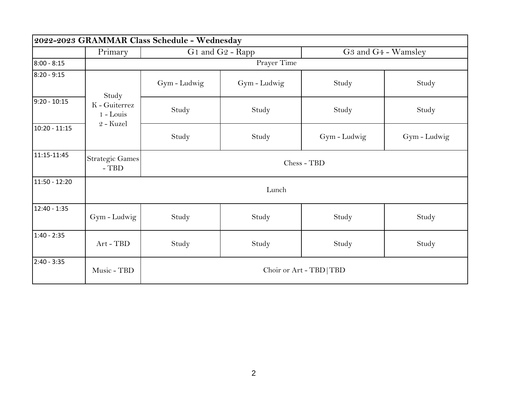| 2022-2023 GRAMMAR Class Schedule - Wednesday |                                                    |                          |              |                                             |              |
|----------------------------------------------|----------------------------------------------------|--------------------------|--------------|---------------------------------------------|--------------|
|                                              | Primary                                            | G1 and G2 - Rapp         |              | G <sub>3</sub> and G <sub>4</sub> - Wamsley |              |
| $8:00 - 8:15$                                |                                                    | Prayer Time              |              |                                             |              |
| $8:20 - 9:15$                                |                                                    | Gym - Ludwig             | Gym - Ludwig | Study                                       | Study        |
| $9:20 - 10:15$                               | Study<br>K - Guiterrez<br>$1 - Louis$<br>2 - Kuzel | Study                    | Study        | Study                                       | Study        |
| $10:20 - 11:15$                              |                                                    | Study                    | Study        | Gym-Ludwig                                  | Gym - Ludwig |
| 11:15-11:45                                  | <b>Strategic Games</b><br>$-TBD$                   | Chess - TBD              |              |                                             |              |
| 11:50 - 12:20                                |                                                    | Lunch                    |              |                                             |              |
| 12:40 - 1:35                                 | Gym - Ludwig                                       | Study                    | Study        | Study                                       | Study        |
| $1:40 - 2:35$                                | Art - TBD                                          | Study                    | Study        | Study                                       | Study        |
| $2:40 - 3:35$                                | Music - TBD                                        | Choir or Art - TBD   TBD |              |                                             |              |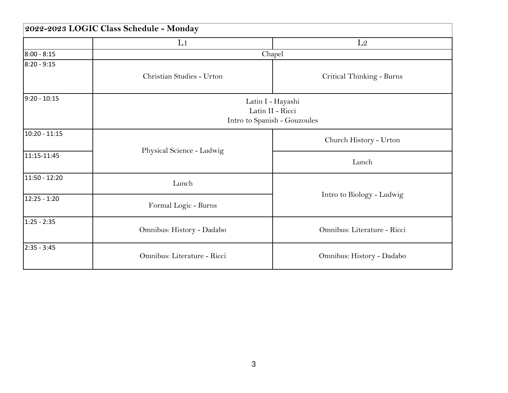| 2022-2023 LOGIC Class Schedule - Monday |                             |                                                                       |  |  |
|-----------------------------------------|-----------------------------|-----------------------------------------------------------------------|--|--|
|                                         | L1                          | L2                                                                    |  |  |
| $8:00 - 8:15$                           |                             | Chapel                                                                |  |  |
| 8:20 - 9:15                             | Christian Studies - Urton   | Critical Thinking - Burns                                             |  |  |
| $9:20 - 10:15$                          |                             | Latin I - Hayashi<br>Latin II - Ricci<br>Intro to Spanish - Gouzoules |  |  |
| 10:20 - 11:15                           |                             | Church History - Urton                                                |  |  |
| 11:15-11:45                             | Physical Science - Ludwig   | Lunch                                                                 |  |  |
| 11:50 - 12:20                           | Lunch                       |                                                                       |  |  |
| 12:25 - 1:20                            | Formal Logic - Burns        | Intro to Biology - Ludwig                                             |  |  |
| 1:25 - 2:35                             | Omnibus: History - Dadabo   | Omnibus: Literature - Ricci                                           |  |  |
| 2:35 - 3:45                             | Omnibus: Literature - Ricci | Omnibus: History - Dadabo                                             |  |  |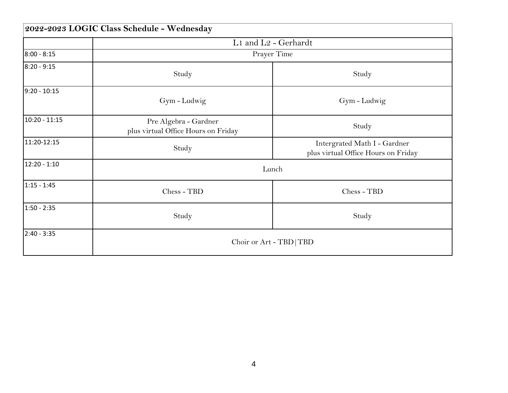|                | 2022-2023 LOGIC Class Schedule - Wednesday                   |                                                                     |  |  |  |
|----------------|--------------------------------------------------------------|---------------------------------------------------------------------|--|--|--|
|                | L1 and L2 - Gerhardt                                         |                                                                     |  |  |  |
| $8:00 - 8:15$  |                                                              | Prayer Time                                                         |  |  |  |
| 8:20 - 9:15    | Study                                                        | Study                                                               |  |  |  |
| $9:20 - 10:15$ | Gym - Ludwig                                                 | Gym - Ludwig                                                        |  |  |  |
| 10:20 - 11:15  | Pre Algebra - Gardner<br>plus virtual Office Hours on Friday | Study                                                               |  |  |  |
| 11:20-12:15    | Study                                                        | Intergrated Math I - Gardner<br>plus virtual Office Hours on Friday |  |  |  |
| 12:20 - 1:10   |                                                              | Lunch                                                               |  |  |  |
| $1:15 - 1:45$  | Chess - TBD                                                  | Chess - TBD                                                         |  |  |  |
| 1:50 - 2:35    | Study                                                        | Study                                                               |  |  |  |
| 2:40 - 3:35    |                                                              | Choir or Art - TBD   TBD                                            |  |  |  |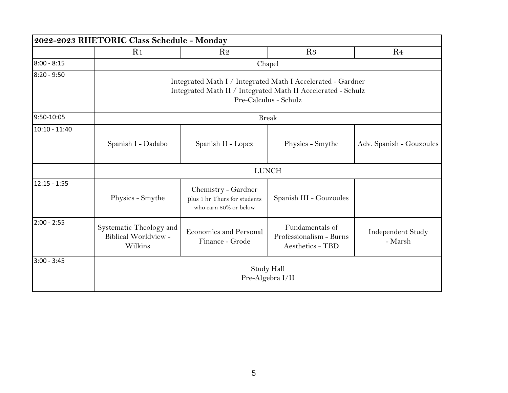| 2022-2023 RHETORIC Class Schedule - Monday |                                                                                                                                                      |                                                                              |                                                                |                              |  |
|--------------------------------------------|------------------------------------------------------------------------------------------------------------------------------------------------------|------------------------------------------------------------------------------|----------------------------------------------------------------|------------------------------|--|
|                                            | R <sub>1</sub>                                                                                                                                       | R <sub>2</sub>                                                               | R <sub>3</sub>                                                 | R <sub>4</sub>               |  |
| $8:00 - 8:15$                              |                                                                                                                                                      | Chapel                                                                       |                                                                |                              |  |
| $8:20 - 9:50$                              | Integrated Math I / Integrated Math I Accelerated - Gardner<br>Integrated Math II / Integrated Math II Accelerated - Schulz<br>Pre-Calculus - Schulz |                                                                              |                                                                |                              |  |
| 9:50-10:05                                 | <b>Break</b>                                                                                                                                         |                                                                              |                                                                |                              |  |
| $10:10 - 11:40$                            | Spanish I - Dadabo                                                                                                                                   | Spanish II - Lopez                                                           | Physics - Smythe                                               | Adv. Spanish - Gouzoules     |  |
|                                            | <b>LUNCH</b>                                                                                                                                         |                                                                              |                                                                |                              |  |
| $12:15 - 1:55$                             | Physics - Smythe                                                                                                                                     | Chemistry - Gardner<br>plus 1 hr Thurs for students<br>who earn 80% or below | Spanish III - Gouzoules                                        |                              |  |
| $2:00 - 2:55$                              | Systematic Theology and<br>Biblical Worldview -<br>Wilkins                                                                                           | <b>Economics and Personal</b><br>Finance - Grode                             | Fundamentals of<br>Professionalism - Burns<br>Aesthetics - TBD | Independent Study<br>- Marsh |  |
| $3:00 - 3:45$                              | <b>Study Hall</b><br>Pre-Algebra I/II                                                                                                                |                                                                              |                                                                |                              |  |